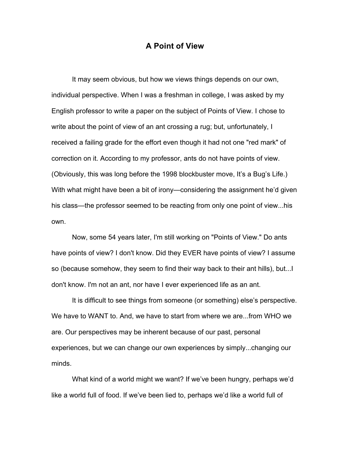## **A Point of View**

It may seem obvious, but how we views things depends on our own, individual perspective. When I was a freshman in college, I was asked by my English professor to write a paper on the subject of Points of View. I chose to write about the point of view of an ant crossing a rug; but, unfortunately, I received a failing grade for the effort even though it had not one "red mark" of correction on it. According to my professor, ants do not have points of view. (Obviously, this was long before the 1998 blockbuster move, It's a Bug's Life.) With what might have been a bit of irony—considering the assignment he'd given his class—the professor seemed to be reacting from only one point of view...his own.

Now, some 54 years later, I'm still working on "Points of View." Do ants have points of view? I don't know. Did they EVER have points of view? I assume so (because somehow, they seem to find their way back to their ant hills), but...I don't know. I'm not an ant, nor have I ever experienced life as an ant.

It is difficult to see things from someone (or something) else's perspective. We have to WANT to. And, we have to start from where we are...from WHO we are. Our perspectives may be inherent because of our past, personal experiences, but we can change our own experiences by simply...changing our minds.

What kind of a world might we want? If we've been hungry, perhaps we'd like a world full of food. If we've been lied to, perhaps we'd like a world full of